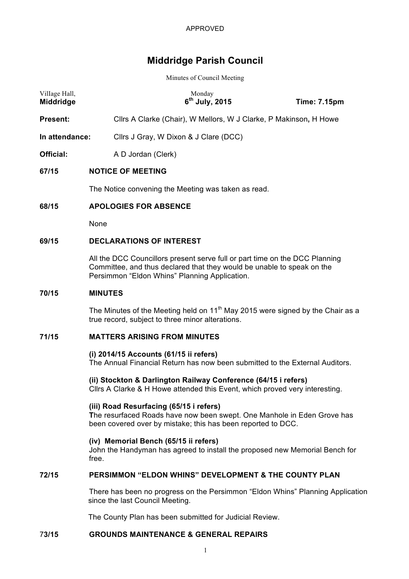# **Middridge Parish Council**

Minutes of Council Meeting

| Village Hall,<br>Middridge | Monday<br>$6th$ July, 2015                                                                                                                                                                             | <b>Time: 7.15pm</b> |  |
|----------------------------|--------------------------------------------------------------------------------------------------------------------------------------------------------------------------------------------------------|---------------------|--|
| <b>Present:</b>            | Cllrs A Clarke (Chair), W Mellors, W J Clarke, P Makinson, H Howe                                                                                                                                      |                     |  |
| In attendance:             | Cllrs J Gray, W Dixon & J Clare (DCC)                                                                                                                                                                  |                     |  |
| Official:                  | A D Jordan (Clerk)                                                                                                                                                                                     |                     |  |
| 67/15                      | <b>NOTICE OF MEETING</b>                                                                                                                                                                               |                     |  |
|                            | The Notice convening the Meeting was taken as read.                                                                                                                                                    |                     |  |
| 68/15                      | <b>APOLOGIES FOR ABSENCE</b>                                                                                                                                                                           |                     |  |
|                            | None                                                                                                                                                                                                   |                     |  |
| 69/15                      | <b>DECLARATIONS OF INTEREST</b>                                                                                                                                                                        |                     |  |
|                            | All the DCC Councillors present serve full or part time on the DCC Planning<br>Committee, and thus declared that they would be unable to speak on the<br>Persimmon "Eldon Whins" Planning Application. |                     |  |
| 70/15                      | <b>MINUTES</b>                                                                                                                                                                                         |                     |  |
|                            |                                                                                                                                                                                                        |                     |  |

The Minutes of the Meeting held on  $11<sup>th</sup>$  May 2015 were signed by the Chair as a true record, subject to three minor alterations.

## **71/15 MATTERS ARISING FROM MINUTES**

## **(i) 2014/15 Accounts (61/15 ii refers)**

The Annual Financial Return has now been submitted to the External Auditors.

**(ii) Stockton & Darlington Railway Conference (64/15 i refers)** Cllrs A Clarke & H Howe attended this Event, which proved very interesting.

#### **(iii) Road Resurfacing (65/15 i refers)**

**T**he resurfaced Roads have now been swept. One Manhole in Eden Grove has been covered over by mistake; this has been reported to DCC.

#### **(iv) Memorial Bench (65/15 ii refers)**

John the Handyman has agreed to install the proposed new Memorial Bench for free.

#### **72/15 PERSIMMON "ELDON WHINS" DEVELOPMENT & THE COUNTY PLAN**

There has been no progress on the Persimmon "Eldon Whins" Planning Application since the last Council Meeting.

The County Plan has been submitted for Judicial Review.

## 7**3/15 GROUNDS MAINTENANCE & GENERAL REPAIRS**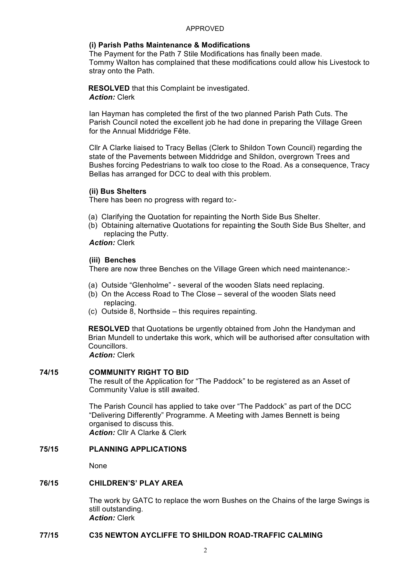#### APPROVED

## **(i) Parish Paths Maintenance & Modifications**

The Payment for the Path 7 Stile Modifications has finally been made. Tommy Walton has complained that these modifications could allow his Livestock to stray onto the Path.

**RESOLVED** that this Complaint be investigated. *Action:* Clerk

Ian Hayman has completed the first of the two planned Parish Path Cuts. The Parish Council noted the excellent job he had done in preparing the Village Green for the Annual Middridge Fête.

Cllr A Clarke liaised to Tracy Bellas (Clerk to Shildon Town Council) regarding the state of the Pavements between Middridge and Shildon, overgrown Trees and Bushes forcing Pedestrians to walk too close to the Road. As a consequence, Tracy Bellas has arranged for DCC to deal with this problem.

## **(ii) Bus Shelters**

There has been no progress with regard to:-

- (a) Clarifying the Quotation for repainting the North Side Bus Shelter.
- (b) Obtaining alternative Quotations for repainting **t**he South Side Bus Shelter, and replacing the Putty.

*Action:* Clerk

## **(iii) Benches**

There are now three Benches on the Village Green which need maintenance:-

- (a) Outside "Glenholme" several of the wooden Slats need replacing.
- (b) On the Access Road to The Close several of the wooden Slats need replacing.
- (c) Outside 8, Northside this requires repainting.

**RESOLVED** that Quotations be urgently obtained from John the Handyman and Brian Mundell to undertake this work, which will be authorised after consultation with Councillors.

*Action:* Clerk

# **74/15 COMMUNITY RIGHT TO BID**

The result of the Application for "The Paddock" to be registered as an Asset of Community Value is still awaited.

The Parish Council has applied to take over "The Paddock" as part of the DCC "Delivering Differently" Programme. A Meeting with James Bennett is being organised to discuss this. *Action:* Cllr A Clarke & Clerk

# **75/15 PLANNING APPLICATIONS**

None

# **76/15 CHILDREN'S' PLAY AREA**

The work by GATC to replace the worn Bushes on the Chains of the large Swings is still outstanding. *Action:* Clerk

## **77/15 C35 NEWTON AYCLIFFE TO SHILDON ROAD-TRAFFIC CALMING**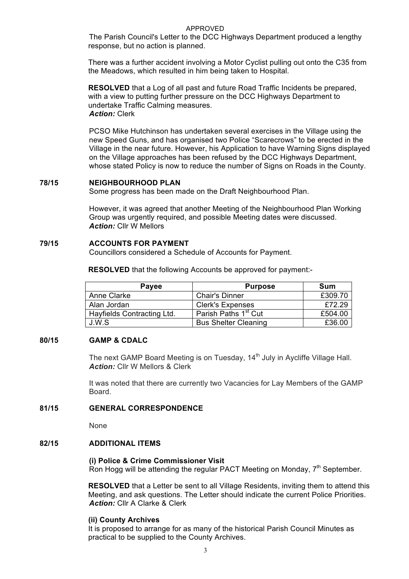## APPROVED

The Parish Council's Letter to the DCC Highways Department produced a lengthy response, but no action is planned.

There was a further accident involving a Motor Cyclist pulling out onto the C35 from the Meadows, which resulted in him being taken to Hospital.

**RESOLVED** that a Log of all past and future Road Traffic Incidents be prepared, with a view to putting further pressure on the DCC Highways Department to undertake Traffic Calming measures. *Action:* Clerk

PCSO Mike Hutchinson has undertaken several exercises in the Village using the new Speed Guns, and has organised two Police "Scarecrows" to be erected in the Village in the near future. However, his Application to have Warning Signs displayed on the Village approaches has been refused by the DCC Highways Department, whose stated Policy is now to reduce the number of Signs on Roads in the County.

#### **78/15 NEIGHBOURHOOD PLAN**

Some progress has been made on the Draft Neighbourhood Plan.

However, it was agreed that another Meeting of the Neighbourhood Plan Working Group was urgently required, and possible Meeting dates were discussed. *Action:* Cllr W Mellors

#### **79/15 ACCOUNTS FOR PAYMENT**

Councillors considered a Schedule of Accounts for Payment.

**RESOLVED** that the following Accounts be approved for payment:-

| Payee                      | <b>Purpose</b>                   | Sum     |
|----------------------------|----------------------------------|---------|
| Anne Clarke                | <b>Chair's Dinner</b>            | £309.70 |
| Alan Jordan                | <b>Clerk's Expenses</b>          | £72.29  |
| Hayfields Contracting Ltd. | Parish Paths 1 <sup>st</sup> Cut | £504.00 |
| J.W.S                      | <b>Bus Shelter Cleaning</b>      | £36.00  |

## **80/15 GAMP & CDALC**

The next GAMP Board Meeting is on Tuesday, 14<sup>th</sup> July in Aycliffe Village Hall. *Action:* Cllr W Mellors & Clerk

It was noted that there are currently two Vacancies for Lay Members of the GAMP Board.

#### **81/15 GENERAL CORRESPONDENCE**

None

# **82/15 ADDITIONAL ITEMS**

#### **(i) Police & Crime Commissioner Visit**

Ron Hogg will be attending the regular PACT Meeting on Monday,  $7<sup>th</sup>$  September.

**RESOLVED** that a Letter be sent to all Village Residents, inviting them to attend this Meeting, and ask questions. The Letter should indicate the current Police Priorities. *Action:* Cllr A Clarke & Clerk

#### **(ii) County Archives**

It is proposed to arrange for as many of the historical Parish Council Minutes as practical to be supplied to the County Archives.